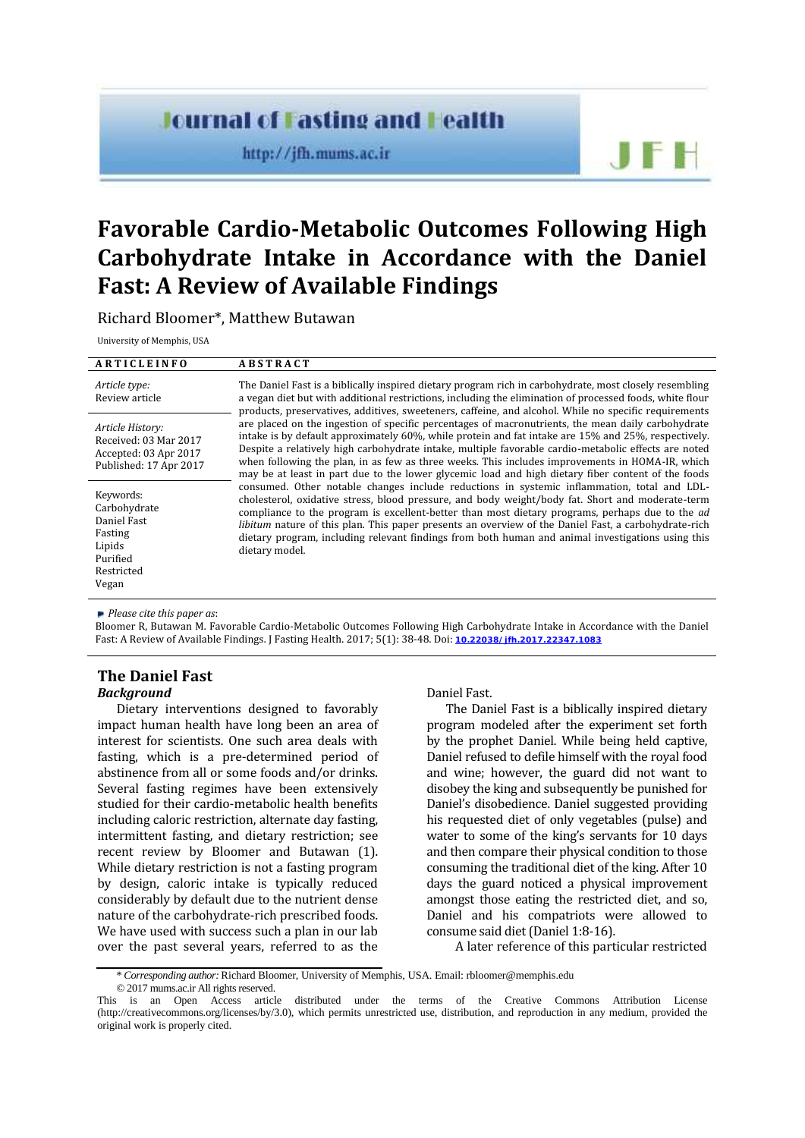# **Journal of Fasting and Health**

http://jfh.mums.ac.ir

# **Favorable Cardio-Metabolic Outcomes Following High Carbohydrate Intake in Accordance with the Daniel Fast: A Review of Available Findings**

Richard Bloomer\*, Matthew Butawan

University of Memphis, USA

#### **A R T I C L E I N F O A B S T R A C T**

| Article type:<br>Review article                                                              | The Daniel Fast is a biblically inspired dietary program rich in carbohydrate, most closely resembling<br>a vegan diet but with additional restrictions, including the elimination of processed foods, white flour<br>products, preservatives, additives, sweeteners, caffeine, and alcohol. While no specific requirements                                                                                                                                                                                                                     |  |  |  |  |  |  |
|----------------------------------------------------------------------------------------------|-------------------------------------------------------------------------------------------------------------------------------------------------------------------------------------------------------------------------------------------------------------------------------------------------------------------------------------------------------------------------------------------------------------------------------------------------------------------------------------------------------------------------------------------------|--|--|--|--|--|--|
| Article History:<br>Received: 03 Mar 2017<br>Accepted: 03 Apr 2017<br>Published: 17 Apr 2017 | are placed on the ingestion of specific percentages of macronutrients, the mean daily carbohydrate<br>intake is by default approximately 60%, while protein and fat intake are 15% and 25%, respectively.<br>Despite a relatively high carbohydrate intake, multiple favorable cardio-metabolic effects are noted<br>when following the plan, in as few as three weeks. This includes improvements in HOMA-IR, which<br>may be at least in part due to the lower glycemic load and high dietary fiber content of the foods                      |  |  |  |  |  |  |
| Keywords:<br>Carbohydrate<br>Daniel Fast<br>Fasting<br>Lipids<br>Purified<br>Restricted      | consumed. Other notable changes include reductions in systemic inflammation, total and LDL-<br>cholesterol, oxidative stress, blood pressure, and body weight/body fat. Short and moderate-term<br>compliance to the program is excellent-better than most dietary programs, perhaps due to the <i>ad</i><br><i>libitum</i> nature of this plan. This paper presents an overview of the Daniel Fast, a carbohydrate-rich<br>dietary program, including relevant findings from both human and animal investigations using this<br>dietary model. |  |  |  |  |  |  |

*Please cite this paper as*:

Bloomer R, Butawan M. Favorable Cardio-Metabolic Outcomes Following High Carbohydrate Intake in Accordance with the Daniel Fast: A Review of Available Findings. J Fasting Health. 2017; 5(1): 38-48. Doi: **10.22038/jfh.2017.22347.1083**

## **The Daniel Fast**

#### *Background*

Vegan

Dietary interventions designed to favorably impact human health have long been an area of interest for scientists. One such area deals with fasting, which is a pre-determined period of abstinence from all or some foods and/or drinks. Several fasting regimes have been extensively studied for their cardio-metabolic health benefits including caloric restriction, alternate day fasting, intermittent fasting, and dietary restriction; see recent review by Bloomer and Butawan (1). While dietary restriction is not a fasting program by design, caloric intake is typically reduced considerably by default due to the nutrient dense nature of the carbohydrate-rich prescribed foods. We have used with success such a plan in our lab over the past several years, referred to as the

Daniel Fast.

The Daniel Fast is a biblically inspired dietary program modeled after the experiment set forth by the prophet Daniel. While being held captive, Daniel refused to defile himself with the royal food and wine; however, the guard did not want to disobey the king and subsequently be punished for Daniel's disobedience. Daniel suggested providing his requested diet of only vegetables (pulse) and water to some of the king's servants for 10 days and then compare their physical condition to those consuming the traditional diet of the king. After 10 days the guard noticed a physical improvement amongst those eating the restricted diet, and so, Daniel and his compatriots were allowed to consume said diet (Daniel 1:8-16).

A later reference of this particular restricted

<sup>\*</sup> *Corresponding author:*Richard Bloomer, University of Memphis, USA. Email: rbloomer@memphis.edu

<sup>© 2017</sup> mums.ac.ir All rights reserved.

This is an Open Access article distributed under the terms of the Creative Commons Attribution License (http://creativecommons.org/licenses/by/3.0), which permits unrestricted use, distribution, and reproduction in any medium, provided the original work is properly cited.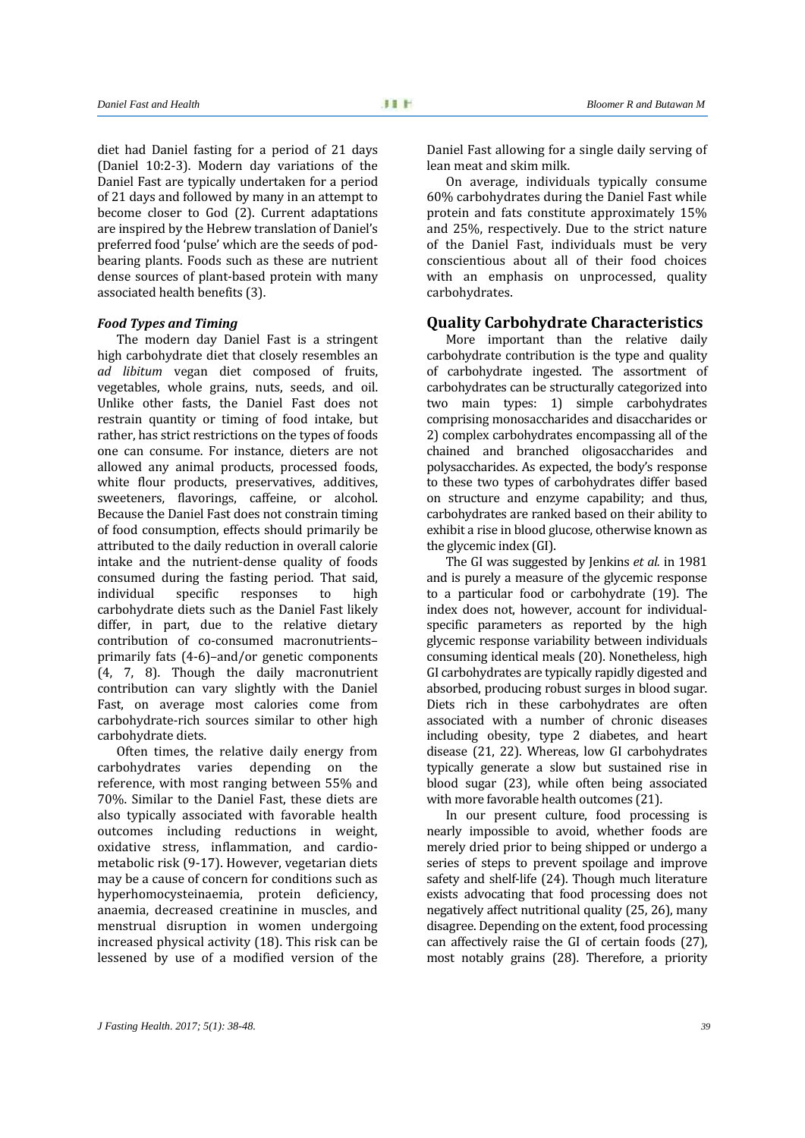diet had Daniel fasting for a period of 21 days (Daniel 10:2-3). Modern day variations of the Daniel Fast are typically undertaken for a period of 21 days and followed by many in an attempt to become closer to God (2). Current adaptations are inspired by the Hebrew translation of Daniel's preferred food 'pulse' which are the seeds of pod bearing plants. Foods such as these are nutrient dense sources of plant-based protein with many associated health benefits (3).

#### *Food Types and Timing*

The modern day Daniel Fast is a stringent high carbohydrate diet that closely resembles an *ad libitum* vegan diet composed of fruits, vegetables, whole grains, nuts, seeds, and oil. Unlike other fasts, the Daniel Fast does not restrain quantity or timing of food intake, but rather, has strict restrictions on the types of foods one can consume. For instance, dieters are not allowed any animal products, processed foods, white flour products, preservatives, additives, sweeteners, flavorings, caffeine, or alcohol. Because the Daniel Fast does not constrain timing of food consumption, effects should primarily be attributed to the daily reduction in overall calorie intake and the nutrient-dense quality of foods consumed during the fasting period. That said, responses carbohydrate diets such as the Daniel Fast likely differ, in part, due to the relative dietary contribution of co-consumed macronutrients– primarily fats (4-6)–and/or genetic components (4, 7, 8). Though the daily macronutrient contribution can vary slightly with the Daniel Fast, on average most calories come from carbohydrate-rich sources similar to other high carbohydrate diets.

Often times, the relative daily energy from<br>bohydrates varies depending on the carbohydrates varies depending on reference, with most ranging between 55% and 70%. Similar to the Daniel Fast, these diets are also typically associated with favorable health outcomes including reductions in weight, oxidative stress, inflammation, and cardio metabolic risk (9-17). However, vegetarian diets may be a cause of concern for conditions such as hyperhomocysteinaemia, protein deficiency, anaemia, decreased creatinine in muscles, and menstrual disruption in women undergoing increased physical activity (18). This risk can be lessened by use of a modified version of the

Daniel Fast allowing for a single daily serving of lean meat and skim milk.

On average, individuals typically consume 60% carbohydrates during the Daniel Fast while protein and fats constitute approximately 15% and 25%, respectively. Due to the strict nature of the Daniel Fast, individuals must be very conscientious about all of their food choices with an emphasis on unprocessed, quality carbohydrates.

#### **Quality Carbohydrate Characteristics**

More important than the relative daily carbohydrate contribution is the type and quality of carbohydrate ingested. The assortment of carbohydrates can be structurally categorized into two main types: 1) simple carbohydrates comprising monosaccharides and disaccharides or 2) complex carbohydrates encompassing all of the chained and branched oligosaccharides and polysaccharides. As expected, the body's response to these two types of carbohydrates differ based on structure and enzyme capability; and thus, carbohydrates are ranked based on their ability to exhibit a rise in blood glucose, otherwise known as the glycemic index (GI).

The GI was suggested by Jenkins *et al.* in 1981 and is purely a measure of the glycemic response to a particular food or carbohydrate (19). The index does not, however, account for individual specific parameters as reported by the high glycemic response variability between individuals consuming identical meals (20). Nonetheless, high GI carbohydrates are typically rapidly digested and absorbed, producing robust surges in blood sugar. Diets rich in these carbohydrates are often associated with a number of chronic diseases including obesity, type 2 diabetes, and heart disease (21,22). Whereas, low GI carbohydrates typically generate a slow but sustained rise in blood sugar (23), while often being associated with more favorable health outcomes (21).

In our present culture, food processing is nearly impossible to avoid, whether foods are merely dried prior to being shipped or undergo a series of steps to prevent spoilage and improve safety and shelf-life (24). Though much literature exists advocating that food processing does not negatively affect nutritional quality (25, 26), many disagree. Depending on the extent, food processing can affectively raise the GI of certain foods (27), most notably grains (28). Therefore, a priority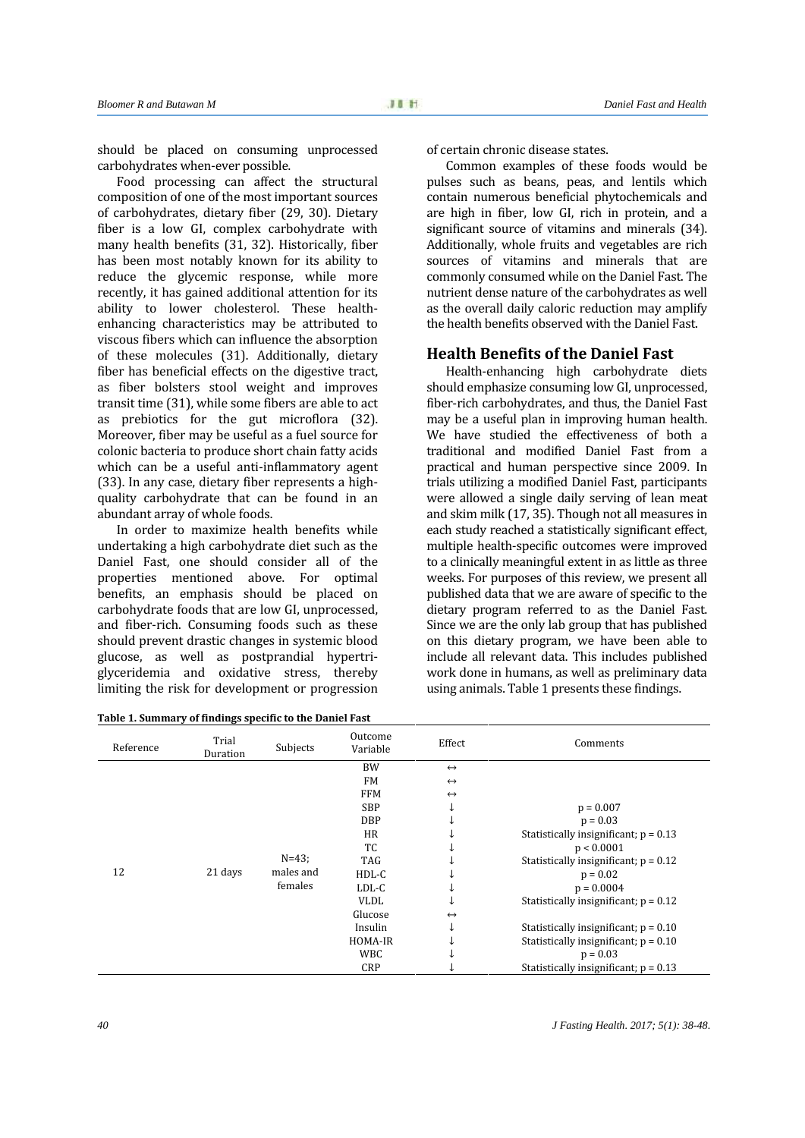should be placed on consuming unprocessed carbohydrates when-ever possible.

Food processing can affect the structural composition of one of the most important sources of carbohydrates, dietary fiber (29, 30). Dietary fiber is a low GI, complex carbohydrate with many health benefits (31, 32). Historically, fiber has been most notably known for its ability to reduce the glycemic response, while more recently, it has gained additional attention for its ability to lower cholesterol. These health enhancing characteristics may be attributed to viscous fibers which can influence the absorption of these molecules (31). Additionally, dietary fiber has beneficial effects on the digestive tract, as fiber bolsters stool weight and improves transit time (31), while some fibers are able to act as prebiotics for the gut microflora (32). Moreover, fiber may be useful as a fuel source for colonic bacteria to produce short chain fatty acids which can be a useful anti-inflammatory agent (33). In any case, dietary fiber represents a high quality carbohydrate that can be found in an abundant array of whole foods.

In order to maximize health benefits while undertaking a high carbohydrate diet such as the Daniel Fast, one should consider all of the properties mentioned above. For optimal benefits, an emphasis should be placed on carbohydrate foods that are low GI, unprocessed, and fiber-rich. Consuming foods such as these should prevent drastic changes in systemic blood glucose, as well as postprandial hypertri glyceridemia and oxidative stress, thereby limiting the risk for development or progression

| Table 1. Summary of findings specific to the Daniel Fast |
|----------------------------------------------------------|
|----------------------------------------------------------|

of certain chronic disease states.

Common examples of these foods would be pulses such as beans, peas, and lentils which contain numerous beneficial phytochemicals and are high in fiber, low GI, rich in protein, and a significant source of vitamins and minerals (34). Additionally, whole fruits and vegetables are rich sources of vitamins and minerals that are commonly consumed while on the Daniel Fast. The nutrient dense nature of the carbohydrates as well as the overall daily caloric reduction may amplify the health benefits observed with the Daniel Fast.

### **Health Benefits of the Daniel Fast**

Health-enhancing high carbohydrate diets should emphasize consuming low GI, unprocessed, fiber-rich carbohydrates, and thus, the Daniel Fast may be a useful plan in improving human health. We have studied the effectiveness of both a traditional and modified Daniel Fast from a practical and human perspective since 2009. In trials utilizing a modified Daniel Fast, participants were allowed a single daily serving of lean meat and skim milk (17, 35). Though not all measures in each study reached a statistically significant effect, multiple health-specific outcomes were improved to a clinically meaningful extent in as little as three weeks. For purposes of this review, we present all published data that we are aware of specific to the dietary program referred to as the Daniel Fast. Since we are the only lab group that has published on this dietary program, we have been able to include all relevant data. This includes published work done in humans, as well as preliminary data using animals. Table 1 presents these findings.

| Reference | Trial<br>Duration | Subjects                           | Outcome<br>Variable | Effect            | Comments                                |
|-----------|-------------------|------------------------------------|---------------------|-------------------|-----------------------------------------|
|           | 21 days           | $N = 43$ ;<br>males and<br>females | <b>BW</b>           | $\leftrightarrow$ |                                         |
|           |                   |                                    | <b>FM</b>           | $\leftrightarrow$ |                                         |
|           |                   |                                    | <b>FFM</b>          | $\leftrightarrow$ |                                         |
|           |                   |                                    | <b>SBP</b>          | ↓                 | $p = 0.007$                             |
|           |                   |                                    | <b>DBP</b>          | ↓                 | $p = 0.03$                              |
|           |                   |                                    | <b>HR</b>           |                   | Statistically insignificant; $p = 0.13$ |
|           |                   |                                    | TC                  |                   | p < 0.0001                              |
|           |                   |                                    | <b>TAG</b>          |                   | Statistically insignificant; $p = 0.12$ |
| 12        |                   |                                    | $HDL-C$             |                   | $p = 0.02$                              |
|           |                   |                                    | LDL-C               | ↓                 | $p = 0.0004$                            |
|           |                   |                                    | <b>VLDL</b>         | ↓                 | Statistically insignificant; $p = 0.12$ |
|           |                   |                                    | Glucose             | $\leftrightarrow$ |                                         |
|           |                   |                                    | Insulin             | ↓                 | Statistically insignificant; $p = 0.10$ |
|           |                   |                                    | HOMA-IR             | J                 | Statistically insignificant; $p = 0.10$ |
|           |                   |                                    | <b>WBC</b>          |                   | $p = 0.03$                              |
|           |                   |                                    | <b>CRP</b>          |                   | Statistically insignificant; $p = 0.13$ |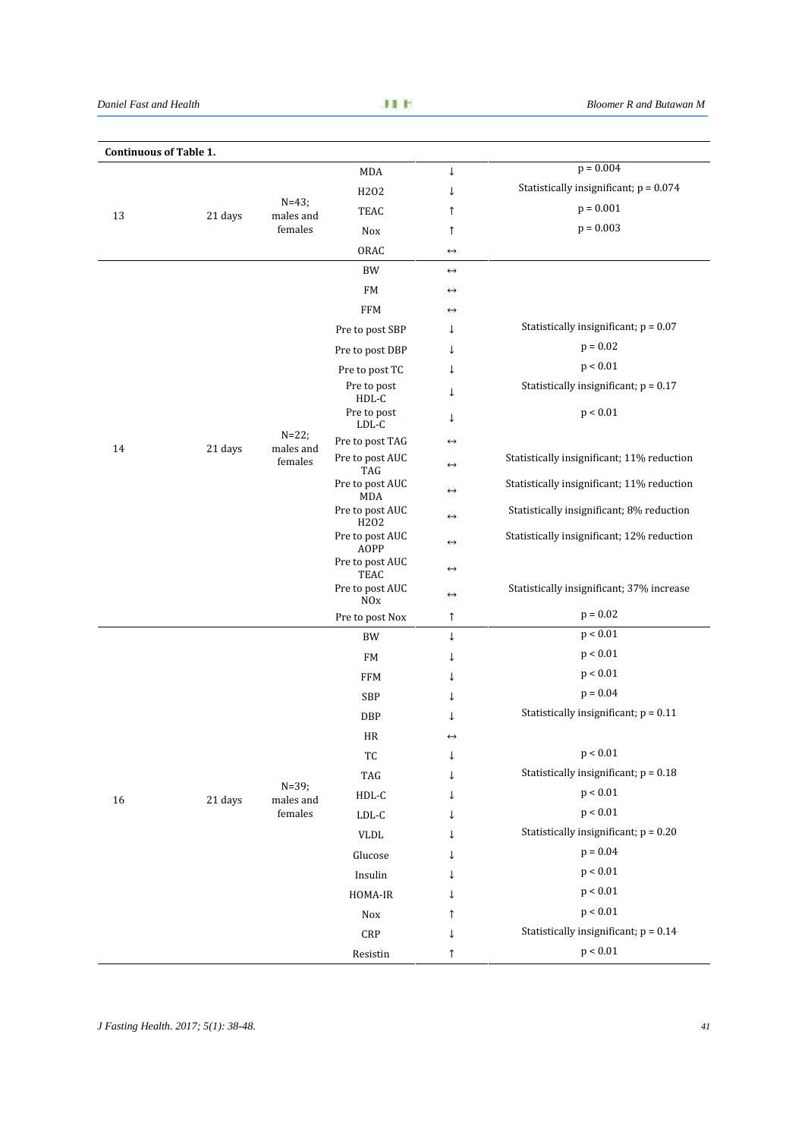*Daniel Fast and Health Bloomer R and Butawan M*

| <b>Continuous of Table 1.</b> |         |                                                                         |                                      |                   |                                            |
|-------------------------------|---------|-------------------------------------------------------------------------|--------------------------------------|-------------------|--------------------------------------------|
|                               |         |                                                                         | MDA                                  | ↓                 | $p = 0.004$                                |
| 13                            |         |                                                                         | H202                                 | ↓                 | Statistically insignificant; $p = 0.074$   |
|                               | 21 days | $N = 43;$<br>males and                                                  | <b>TEAC</b>                          | $\uparrow$        | $p = 0.001$                                |
|                               |         | females                                                                 | <b>Nox</b>                           | $\uparrow$        | $p = 0.003$                                |
|                               |         |                                                                         | ORAC                                 | $\leftrightarrow$ |                                            |
|                               |         |                                                                         | <b>BW</b>                            | $\leftrightarrow$ |                                            |
|                               |         |                                                                         | FM                                   | $\leftrightarrow$ |                                            |
|                               |         |                                                                         | <b>FFM</b>                           | $\leftrightarrow$ |                                            |
|                               |         |                                                                         | Pre to post SBP                      | ↓                 | Statistically insignificant; $p = 0.07$    |
|                               |         |                                                                         | Pre to post DBP                      | ↓                 | $p = 0.02$                                 |
|                               |         |                                                                         | Pre to post TC                       | ↓                 | p < 0.01                                   |
|                               |         |                                                                         | Pre to post<br>HDL-C                 | ↓                 | Statistically insignificant; $p = 0.17$    |
|                               |         | $N = 22$ ;<br>males and<br>females<br>$N = 39;$<br>males and<br>females | Pre to post<br>LDL-C                 | ↓                 | p < 0.01                                   |
| 14                            | 21 days |                                                                         | Pre to post TAG                      | $\leftrightarrow$ |                                            |
|                               |         |                                                                         | Pre to post AUC<br>TAG               | $\leftrightarrow$ | Statistically insignificant; 11% reduction |
|                               |         |                                                                         | Pre to post AUC<br><b>MDA</b>        | $\leftrightarrow$ | Statistically insignificant; 11% reduction |
|                               |         |                                                                         | Pre to post AUC<br>H <sub>2</sub> 02 | $\leftrightarrow$ | Statistically insignificant; 8% reduction  |
|                               |         |                                                                         | Pre to post AUC<br><b>AOPP</b>       | $\leftrightarrow$ | Statistically insignificant; 12% reduction |
|                               |         |                                                                         | Pre to post AUC<br>TEAC              | $\leftrightarrow$ |                                            |
|                               |         |                                                                         | Pre to post AUC<br>NOx               | $\leftrightarrow$ | Statistically insignificant; 37% increase  |
|                               |         |                                                                         | Pre to post Nox                      | ↑                 | $p = 0.02$                                 |
|                               |         |                                                                         | <b>BW</b>                            | $\downarrow$      | p < 0.01                                   |
|                               |         |                                                                         | FM                                   | ↓                 | p < 0.01                                   |
|                               |         |                                                                         | <b>FFM</b>                           | ↓                 | p < 0.01                                   |
|                               |         |                                                                         | SBP                                  | ↓                 | $p = 0.04$                                 |
| 16                            |         |                                                                         | <b>DBP</b>                           | T                 | Statistically insignificant; $p = 0.11$    |
|                               |         |                                                                         | HR                                   | $\leftrightarrow$ |                                            |
|                               |         |                                                                         | TC                                   | ↓                 | p < 0.01                                   |
|                               |         |                                                                         | TAG                                  | ↓                 | Statistically insignificant; $p = 0.18$    |
|                               | 21 days |                                                                         | $HDL-C$                              | $\downarrow$      | p < 0.01                                   |
|                               |         |                                                                         | $LDL-C$                              | ↓                 | p < 0.01                                   |
|                               |         |                                                                         | <b>VLDL</b>                          | ↓                 | Statistically insignificant; $p = 0.20$    |
|                               |         |                                                                         | Glucose                              | ↓                 | $p = 0.04$                                 |
|                               |         |                                                                         | Insulin                              | ↓                 | p < 0.01                                   |
|                               |         |                                                                         | HOMA-IR                              | ↓                 | p < 0.01                                   |
|                               |         |                                                                         | Nox                                  | ↑                 | p < 0.01                                   |
|                               |         |                                                                         | CRP                                  | $\downarrow$      | Statistically insignificant; $p = 0.14$    |
|                               |         |                                                                         | Resistin                             | $\uparrow$        | p < 0.01                                   |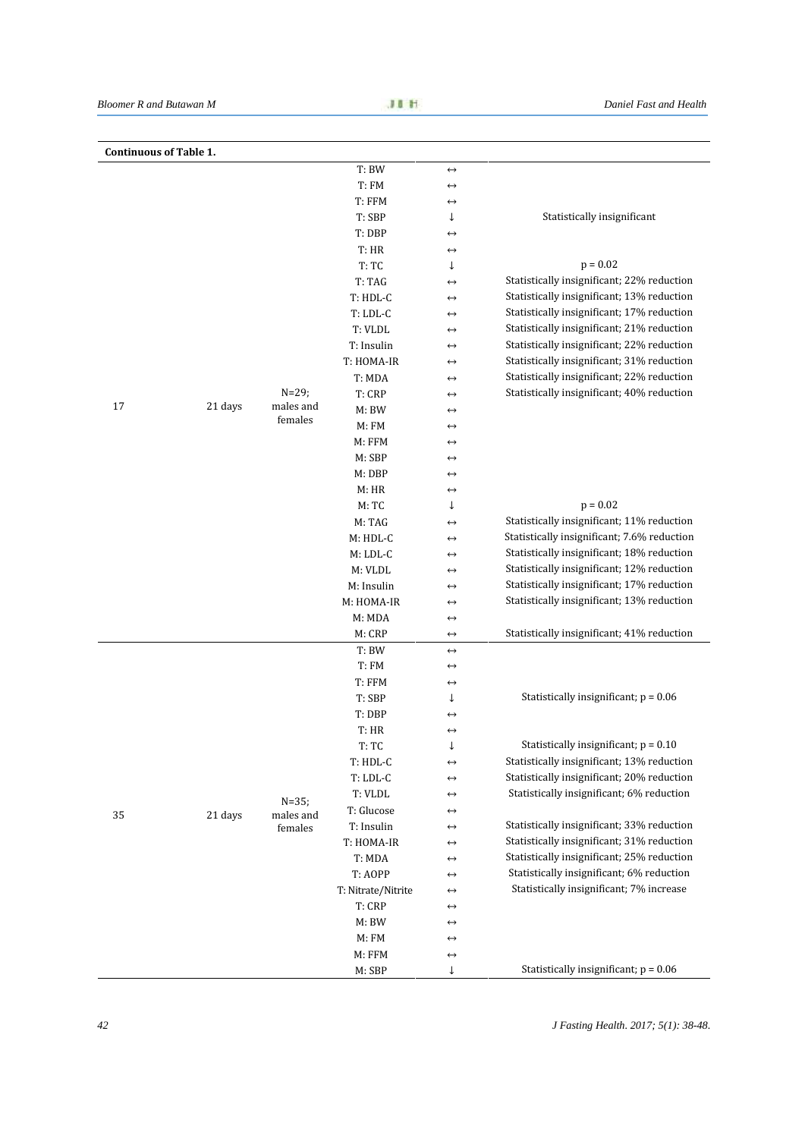| <b>Continuous of Table 1.</b> |         |                                   |                    |                   |                                             |
|-------------------------------|---------|-----------------------------------|--------------------|-------------------|---------------------------------------------|
|                               |         |                                   | T: BW              | $\leftrightarrow$ |                                             |
|                               |         |                                   | T: FM              | $\leftrightarrow$ |                                             |
|                               |         |                                   | T: FFM             | $\leftrightarrow$ |                                             |
|                               |         |                                   | T: SBP             | ↓                 | Statistically insignificant                 |
|                               |         |                                   | T: DBP             | $\leftrightarrow$ |                                             |
|                               |         |                                   | T: HR              | $\leftrightarrow$ |                                             |
|                               |         |                                   | T:TC               | ↓                 | $p = 0.02$                                  |
|                               |         |                                   | T: TAG             | $\leftrightarrow$ | Statistically insignificant; 22% reduction  |
|                               |         |                                   | T: HDL-C           | $\leftrightarrow$ | Statistically insignificant; 13% reduction  |
|                               |         |                                   | T: LDL-C           | $\leftrightarrow$ | Statistically insignificant; 17% reduction  |
|                               |         |                                   | T: VLDL            | $\leftrightarrow$ | Statistically insignificant; 21% reduction  |
|                               |         |                                   | T: Insulin         | $\leftrightarrow$ | Statistically insignificant; 22% reduction  |
|                               |         |                                   | T: HOMA-IR         | $\leftrightarrow$ | Statistically insignificant; 31% reduction  |
|                               |         |                                   | T: MDA             | $\leftrightarrow$ | Statistically insignificant; 22% reduction  |
|                               |         | $N = 29;$                         | T: CRP             | $\leftrightarrow$ | Statistically insignificant; 40% reduction  |
| 17                            | 21 days | males and                         | M: BW              | $\leftrightarrow$ |                                             |
|                               |         | females                           | M: FM              | $\leftrightarrow$ |                                             |
|                               |         |                                   | M: FFM             | $\leftrightarrow$ |                                             |
|                               |         |                                   | M: SBP             | $\leftrightarrow$ |                                             |
|                               |         |                                   | M: DBP             | $\leftrightarrow$ |                                             |
|                               |         |                                   | M: HR              | $\leftrightarrow$ |                                             |
|                               |         |                                   | M:TC               | ↓                 | $p = 0.02$                                  |
|                               |         |                                   | M: TAG             | $\leftrightarrow$ | Statistically insignificant; 11% reduction  |
|                               |         |                                   | M: HDL-C           | $\leftrightarrow$ | Statistically insignificant; 7.6% reduction |
|                               |         |                                   | $M:LDL-C$          | $\leftrightarrow$ | Statistically insignificant; 18% reduction  |
|                               |         |                                   | M: VLDL            | $\leftrightarrow$ | Statistically insignificant; 12% reduction  |
|                               |         |                                   | M: Insulin         | $\leftrightarrow$ | Statistically insignificant; 17% reduction  |
|                               |         |                                   | M: HOMA-IR         | $\leftrightarrow$ | Statistically insignificant; 13% reduction  |
|                               |         |                                   | M: MDA             | $\leftrightarrow$ |                                             |
|                               |         |                                   | M: CRP             | $\leftrightarrow$ | Statistically insignificant; 41% reduction  |
|                               |         |                                   | T: BW              | $\leftrightarrow$ |                                             |
|                               |         | $N = 35;$<br>males and<br>females | T: FM              | $\leftrightarrow$ |                                             |
|                               |         |                                   | T: FFM             | $\leftrightarrow$ |                                             |
|                               |         |                                   | T: SBP             | ↓                 | Statistically insignificant; $p = 0.06$     |
|                               |         |                                   | T: DBP             | $\leftrightarrow$ |                                             |
|                               |         |                                   | T: HR              | $\leftrightarrow$ |                                             |
| 35                            |         |                                   | T: TC              | ↓                 | Statistically insignificant; $p = 0.10$     |
|                               |         |                                   | T: HDL-C           | $\leftrightarrow$ | Statistically insignificant; 13% reduction  |
|                               |         |                                   | $T:LDL-C$          | $\leftrightarrow$ | Statistically insignificant; 20% reduction  |
|                               |         |                                   | T: VLDL            | $\leftrightarrow$ | Statistically insignificant; 6% reduction   |
|                               | 21 days |                                   | T: Glucose         | $\leftrightarrow$ |                                             |
|                               |         |                                   | T: Insulin         | $\leftrightarrow$ | Statistically insignificant; 33% reduction  |
|                               |         |                                   | T: HOMA-IR         | $\leftrightarrow$ | Statistically insignificant; 31% reduction  |
|                               |         |                                   | T: MDA             | $\leftrightarrow$ | Statistically insignificant; 25% reduction  |
|                               |         |                                   | T: AOPP            | $\leftrightarrow$ | Statistically insignificant; 6% reduction   |
|                               |         |                                   | T: Nitrate/Nitrite | $\leftrightarrow$ | Statistically insignificant; 7% increase    |
|                               |         |                                   | T: CRP             | $\leftrightarrow$ |                                             |
|                               |         |                                   | M: BW              | $\leftrightarrow$ |                                             |
|                               |         |                                   | M:FM               | $\leftrightarrow$ |                                             |
|                               |         |                                   | M: FFM             | $\leftrightarrow$ |                                             |
|                               |         |                                   | M: SBP             | ↓                 | Statistically insignificant; $p = 0.06$     |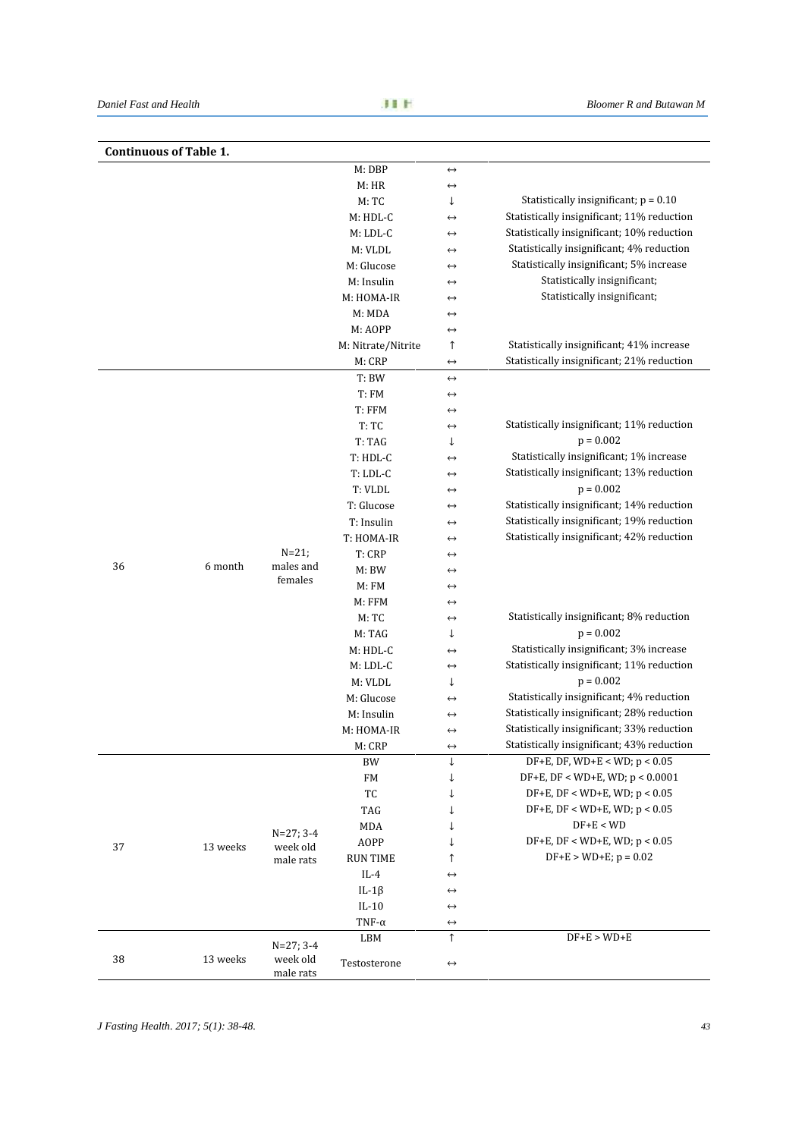|    | <b>Continuous of Table 1.</b> |                                      |                    |                   |                                            |
|----|-------------------------------|--------------------------------------|--------------------|-------------------|--------------------------------------------|
|    |                               |                                      | M: DBP             | $\leftrightarrow$ |                                            |
|    |                               |                                      | M: HR              | $\leftrightarrow$ |                                            |
|    |                               |                                      | M:TC               | ↓                 | Statistically insignificant; $p = 0.10$    |
|    |                               |                                      | M: HDL-C           | $\leftrightarrow$ | Statistically insignificant; 11% reduction |
|    |                               |                                      | M: LDL-C           | $\leftrightarrow$ | Statistically insignificant; 10% reduction |
|    |                               |                                      | M: VLDL            | $\leftrightarrow$ | Statistically insignificant; 4% reduction  |
|    |                               |                                      | M: Glucose         | $\leftrightarrow$ | Statistically insignificant; 5% increase   |
|    |                               |                                      | M: Insulin         | $\leftrightarrow$ | Statistically insignificant;               |
|    |                               |                                      | M: HOMA-IR         | $\leftrightarrow$ | Statistically insignificant;               |
|    |                               |                                      | M: MDA             | $\leftrightarrow$ |                                            |
|    |                               |                                      | M: AOPP            | $\leftrightarrow$ |                                            |
|    |                               |                                      | M: Nitrate/Nitrite | ↑                 | Statistically insignificant; 41% increase  |
|    |                               |                                      | M: CRP             | $\leftrightarrow$ | Statistically insignificant; 21% reduction |
|    |                               |                                      | T: BW              | $\leftrightarrow$ |                                            |
|    |                               |                                      | T: FM              | $\leftrightarrow$ |                                            |
|    |                               |                                      | T: FFM             | $\leftrightarrow$ |                                            |
|    |                               |                                      | T:TC               | $\leftrightarrow$ | Statistically insignificant; 11% reduction |
|    |                               |                                      | T: TAG             | ↓                 | $p = 0.002$                                |
|    |                               |                                      | T: HDL-C           | $\leftrightarrow$ | Statistically insignificant; 1% increase   |
|    |                               |                                      | T: LDL-C           | $\leftrightarrow$ | Statistically insignificant; 13% reduction |
|    |                               |                                      | T: VLDL            | $\leftrightarrow$ | $p = 0.002$                                |
|    |                               |                                      | T: Glucose         | $\leftrightarrow$ | Statistically insignificant; 14% reduction |
|    |                               |                                      | T: Insulin         | $\leftrightarrow$ | Statistically insignificant; 19% reduction |
|    |                               |                                      | T: HOMA-IR         | $\leftrightarrow$ | Statistically insignificant; 42% reduction |
|    |                               | $N = 21$ ;                           | T: CRP             | $\leftrightarrow$ |                                            |
| 36 | 6 month                       | males and<br>females                 | M: BW              | $\leftrightarrow$ |                                            |
|    |                               |                                      | M: FM              | $\leftrightarrow$ |                                            |
|    |                               |                                      | M: FFM             | $\leftrightarrow$ |                                            |
|    |                               |                                      | M:TC               | $\leftrightarrow$ | Statistically insignificant; 8% reduction  |
|    |                               |                                      | M: TAG             | ↓                 | $p = 0.002$                                |
|    |                               |                                      | M: HDL-C           | $\leftrightarrow$ | Statistically insignificant; 3% increase   |
|    |                               |                                      | $M:LDL-C$          | $\leftrightarrow$ | Statistically insignificant; 11% reduction |
|    |                               |                                      | M: VLDL            | ↓                 | $p = 0.002$                                |
|    |                               |                                      | M: Glucose         | $\leftrightarrow$ | Statistically insignificant; 4% reduction  |
|    |                               |                                      | M: Insulin         | $\leftrightarrow$ | Statistically insignificant; 28% reduction |
|    |                               |                                      | M: HOMA-IR         | $\leftrightarrow$ | Statistically insignificant; 33% reduction |
|    |                               |                                      | M: CRP             |                   | Statistically insignificant; 43% reduction |
|    |                               |                                      | BW                 | ↓                 | $DF+E$ , DF, WD+E < WD; $p < 0.05$         |
| 37 |                               | $N=27; 3-4$<br>week old<br>male rats | FM                 | ↓                 | $DF+E$ , $DF < WD+E$ , $WD$ ; $p < 0.0001$ |
|    |                               |                                      | TC                 | ↓                 | $DF+E$ , $DF < WD+E$ , $WD$ ; $p < 0.05$   |
|    |                               |                                      | TAG                | ↓                 | $DF+E$ , $DF < WD+E$ , $WD$ ; $p < 0.05$   |
|    |                               |                                      | MDA                |                   | $DF+E < WD$                                |
|    |                               |                                      | AOPP               |                   | $DF+E$ , $DF < WD+E$ , $WD$ ; $p < 0.05$   |
|    | 13 weeks                      |                                      | <b>RUN TIME</b>    |                   | $DF+E > WD+E$ ; $p = 0.02$                 |
|    |                               |                                      | $IL-4$             | ↑                 |                                            |
|    |                               |                                      |                    | $\leftrightarrow$ |                                            |
|    |                               |                                      | IL-1 $\beta$       | $\leftrightarrow$ |                                            |
|    |                               |                                      | $IL-10$            | $\leftrightarrow$ |                                            |
|    |                               |                                      | TNF- $\alpha$      | $\leftrightarrow$ | $DF+E > WD+E$                              |
| 38 |                               | $N=27; 3-4$                          | LBM                | ↑                 |                                            |
|    | 13 weeks                      | week old                             | Testosterone       | $\leftrightarrow$ |                                            |
|    |                               | male rats                            |                    |                   |                                            |

*J Fasting Health. 2017; 5(1): 38-48. 43*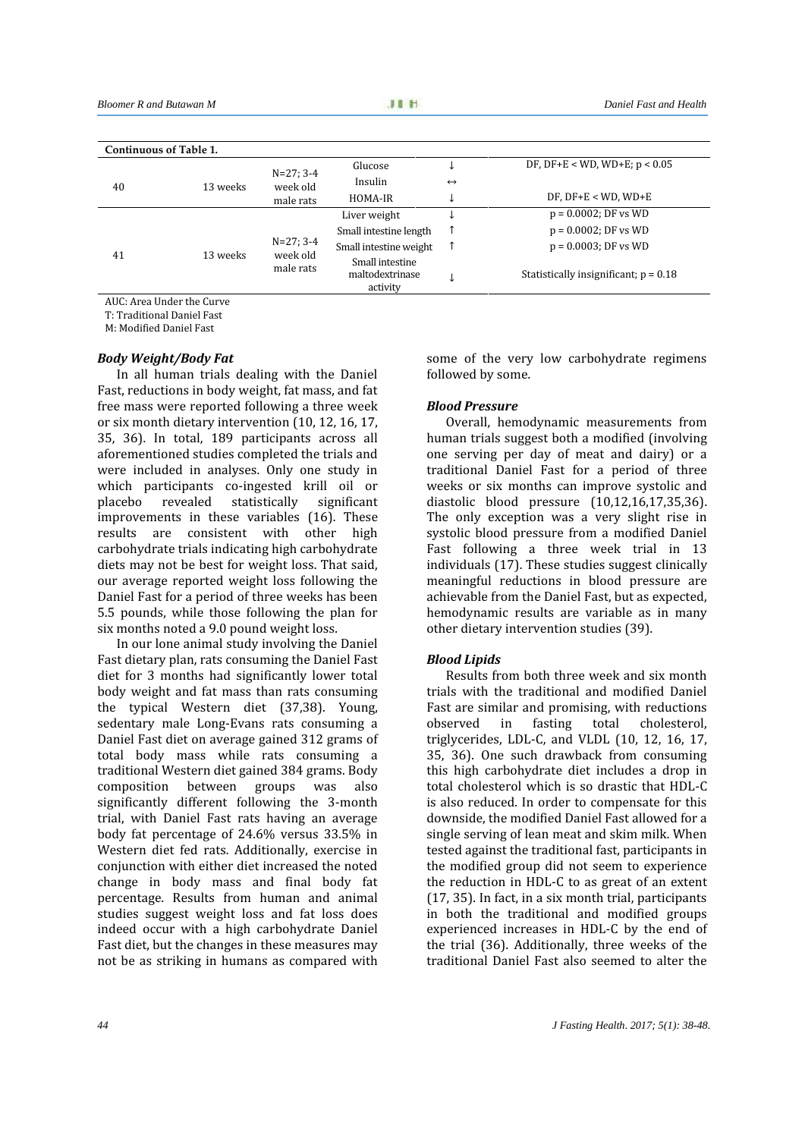|    | Continuous of Table 1. |                                      |                                                |                   |                                         |
|----|------------------------|--------------------------------------|------------------------------------------------|-------------------|-----------------------------------------|
|    |                        | $N=27; 3-4$                          | Glucose                                        |                   | DF, DF+E < WD, WD+E; $p < 0.05$         |
| 40 | 13 weeks               | week old<br>male rats                | Insulin                                        | $\leftrightarrow$ |                                         |
|    |                        |                                      | HOMA-IR                                        |                   | $DF$ , $DF+E < WD$ , $WD+E$             |
|    |                        |                                      | Liver weight                                   |                   | $p = 0.0002$ ; DF vs WD                 |
|    |                        |                                      | Small intestine length                         |                   | $p = 0.0002$ ; DF vs WD                 |
|    |                        | $N=27; 3-4$<br>week old<br>male rats | Small intestine weight                         |                   | $p = 0.0003$ ; DF vs WD                 |
| 41 | 13 weeks               |                                      | Small intestine<br>maltodextrinase<br>activity |                   | Statistically insignificant; $p = 0.18$ |

AUC: Area Under the Curve

T: Traditional Daniel Fast

M: Modified Daniel Fast

#### *Body Weight/Body Fat*

In all human trials dealing with the Daniel Fast, reductions in body weight, fat mass, and fat free mass were reported following a three week or six month dietary intervention (10, 12, 16, 17, 35, 36). In total, 189 participants across all aforementioned studies completed the trials and were included in analyses. Only one study in which participants co-ingested krill oil or<br>placebo revealed statistically significant placebo revealed statistically significant improvements in these variables (16). These results are consistent with other high carbohydrate trials indicating high carbohydrate diets may not be best for weight loss. That said, our average reported weight loss following the Daniel Fast for a period of three weeks has been 5.5 pounds, while those following the plan for six months noted a 9.0 pound weight loss.

In our lone animal study involving the Daniel Fast dietary plan, rats consuming the Daniel Fast diet for 3 months had significantly lower total body weight and fat mass than rats consuming the typical Western diet (37,38). Young, sedentary male Long-Evans rats consuming a Daniel Fast diet on average gained 312 grams of total body mass while rats consuming a traditional Western diet gained 384 grams. Body composition between groups was also significantly different following the 3-month trial, with Daniel Fast rats having an average body fat percentage of 24.6% versus 33.5% in Western diet fed rats. Additionally, exercise in conjunction with either diet increased the noted change in body mass and final body fat percentage. Results from human and animal studies suggest weight loss and fat loss does indeed occur with a high carbohydrate Daniel Fast diet, but the changes in these measures may not be as striking in humans as compared with

some of the very low carbohydrate regimens followed by some.

#### *Blood Pressure*

Overall, hemodynamic measurements from human trials suggest both a modified (involving one serving per day of meat and dairy) or a traditional Daniel Fast for a period of three weeks or six months can improve systolic and diastolic blood pressure (10,12,16,17,35,36). The only exception was a very slight rise in systolic blood pressure from a modified Daniel Fast following a three week trial in 13 individuals (17). These studies suggest clinically meaningful reductions in blood pressure are achievable from the Daniel Fast, but as expected, hemodynamic results are variable as in many other dietary intervention studies (39).

#### *Blood Lipids*

Results from both three week and six month trials with the traditional and modified Daniel Fast are similar and promising, with reductions<br>observed in fasting total cholesterol, fasting total triglycerides, LDL-C, and VLDL (10, 12, 16, 17, 35, 36). One such drawback from consuming this high carbohydrate diet includes a drop in total cholesterol which is so drastic that HDL-C is also reduced. In order to compensate for this downside, the modified Daniel Fast allowed for a single serving of lean meat and skim milk. When tested against the traditional fast, participants in the modified group did not seem to experience the reduction in HDL-C to as great of an extent (17, 35). In fact, in a six month trial, participants in both the traditional and modified groups experienced increases in HDL-C by the end of the trial (36). Additionally, three weeks of the traditional Daniel Fast also seemed to alter the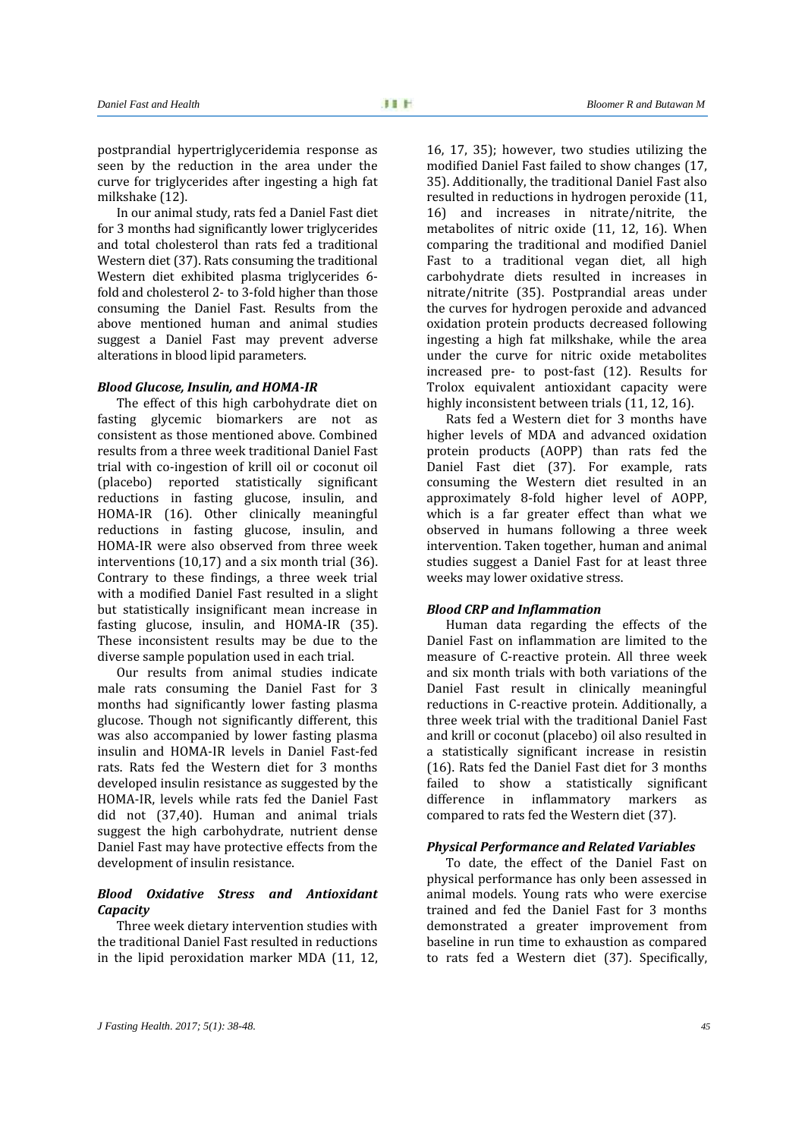postprandial hypertriglyceridemia response as seen by the reduction in the area under the curve for triglycerides after ingesting a high fat milkshake (12).

In our animal study, rats fed a Daniel Fast diet for 3 months had significantly lower triglycerides and total cholesterol than rats fed a traditional Western diet (37). Rats consuming the traditional Western diet exhibited plasma triglycerides 6 fold and cholesterol 2- to 3-fold higher than those consuming the Daniel Fast. Results from the above mentioned human and animal studies suggest a Daniel Fast may prevent adverse alterations in blood lipid parameters.

#### *Blood Glucose, Insulin, and HOMA-IR*

The effect of this high carbohydrate diet on fasting glycemic biomarkers are not as consistent as those mentioned above. Combined results from a three week traditional Daniel Fast trial with co-ingestion of krill oil or coconut oil (placebo) reported statistically significant reductions in fasting glucose, insulin, and HOMA-IR (16). Other clinically meaningful reductions in fasting glucose, insulin, and HOMA-IR were also observed from three week interventions (10,17) and a six month trial (36). Contrary to these findings, a three week trial with a modified Daniel Fast resulted in a slight but statistically insignificant mean increase in fasting glucose, insulin, and HOMA-IR (35). These inconsistent results may be due to the diverse sample population used in each trial.

Our results from animal studies indicate male rats consuming the Daniel Fast for 3 months had significantly lower fasting plasma glucose. Though not significantly different, this was also accompanied by lower fasting plasma insulin and HOMA-IR levels in Daniel Fast-fed rats. Rats fed the Western diet for 3 months developed insulin resistance as suggested by the HOMA-IR, levels while rats fed the Daniel Fast did not (37,40). Human and animal trials suggest the high carbohydrate, nutrient dense Daniel Fast may have protective effects from the development of insulin resistance.

#### *Blood Oxidative Stress and Antioxidant Capacity*

Three week dietary intervention studies with the traditional Daniel Fast resulted in reductions in the lipid peroxidation marker MDA (11, 12, 16, 17, 35); however, two studies utilizing the modified Daniel Fast failed to show changes (17, 35). Additionally, the traditional Daniel Fast also resulted in reductions in hydrogen peroxide (11, 16) and increases in nitrate/nitrite, the metabolites of nitric oxide (11, 12, 16). When comparing the traditional and modified Daniel Fast to a traditional vegan diet, all high carbohydrate diets resulted in increases in nitrate/nitrite (35). Postprandial areas under the curves for hydrogen peroxide and advanced oxidation protein products decreased following ingesting a high fat milkshake, while the area under the curve for nitric oxide metabolites increased pre- to post-fast (12). Results for Trolox equivalent antioxidant capacity were highly inconsistent between trials (11, 12, 16).

Rats fed a Western diet for 3 months have higher levels of MDA and advanced oxidation protein products (AOPP) than rats fed the Daniel Fast diet (37). For example, rats consuming the Western diet resulted in an approximately 8-fold higher level of AOPP, which is a far greater effect than what we observed in humans following a three week intervention. Taken together, human and animal studies suggest a Daniel Fast for at least three weeks may lower oxidative stress.

#### *Blood CRP and Inflammation*

Human data regarding the effects of the Daniel Fast on inflammation are limited to the measure of C-reactive protein. All three week and six month trials with both variations of the Daniel Fast result in clinically meaningful reductions in C-reactive protein. Additionally, a three week trial with the traditional Daniel Fast and krill or coconut (placebo) oil also resulted in a statistically significant increase in resistin (16). Rats fed the Daniel Fast diet for 3 months failed to show a statistically significant difference in inflammatory markers as in inflammatory markers compared to rats fed the Western diet (37).

#### *Physical Performance and Related Variables*

To date, the effect of the Daniel Fast on physical performance has only been assessed in animal models. Young rats who were exercise trained and fed the Daniel Fast for 3 months demonstrated a greater improvement from baseline in run time to exhaustion as compared to rats fed a Western diet (37). Specifically,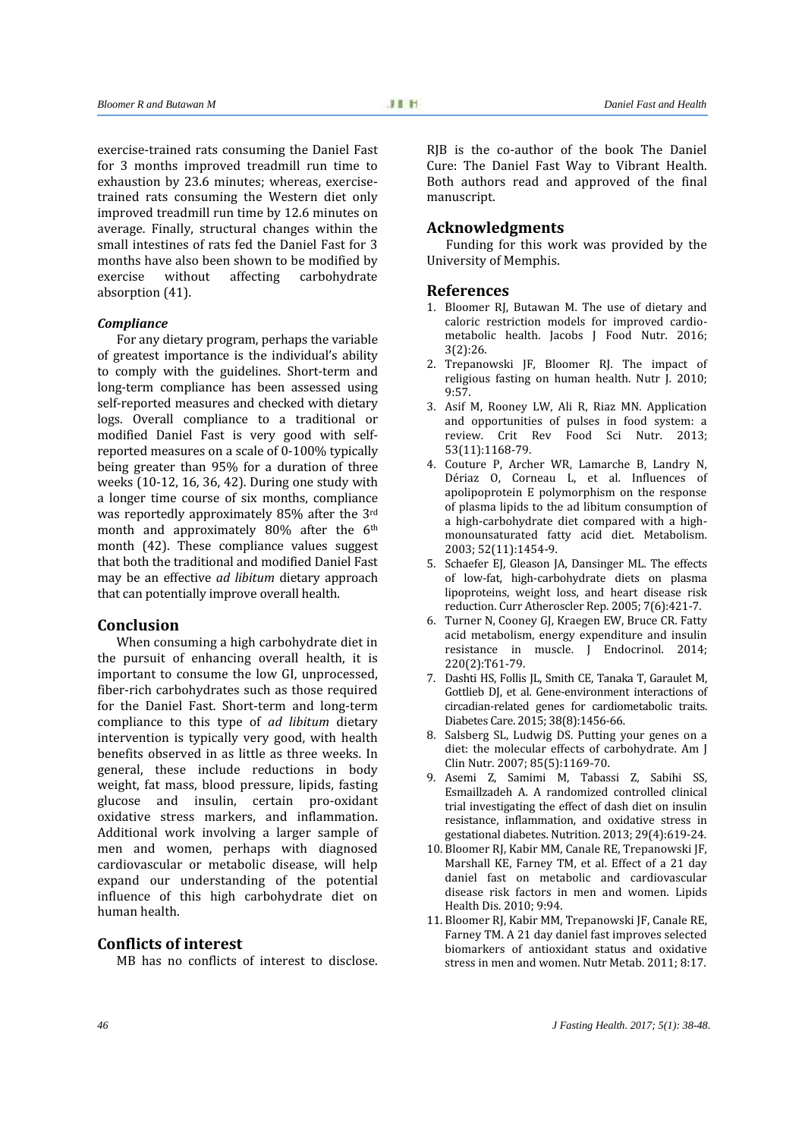exercise-trained rats consuming the Daniel Fast for 3 months improved treadmill run time to exhaustion by 23.6 minutes; whereas, exercise trained rats consuming the Western diet only improved treadmill run time by 12.6 minutes on average. Finally, structural changes within the small intestines of rats fed the Daniel Fast for 3 months have also been shown to be modified by<br>exercise without affecting carbohydrate carbohydrate absorption (41).

#### *Compliance*

For any dietary program, perhaps the variable of greatest importance is the individual's ability to comply with the guidelines. Short-term and long-term compliance has been assessed using self-reported measures and checked with dietary logs. Overall compliance to a traditional or modified Daniel Fast is very good with self reported measures on a scale of 0-100% typically being greater than 95% for a duration of three weeks (10-12, 16, 36, 42). During one study with a longer time course of six months, compliance was reportedly approximately 85% after the 3rd month and approximately 80% after the 6<sup>th</sup> month (42). These compliance values suggest that both the traditional and modified Daniel Fast may be an effective *ad libitum* dietary approach that can potentially improve overall health.

#### **Conclusion**

When consuming a high carbohydrate diet in the pursuit of enhancing overall health, it is important to consume the low GI, unprocessed, fiber-rich carbohydrates such as those required for the Daniel Fast. Short-term and long-term compliance to this type of *ad libitum* dietary intervention is typically very good, with health benefits observed in as little as three weeks. In general, these include reductions in body weight, fat mass, blood pressure, lipids, fasting glucose and insulin, certain pro-oxidant oxidative stress markers, and inflammation. Additional work involving a larger sample of men and women, perhaps with diagnosed cardiovascular or metabolic disease, will help expand our understanding of the potential influence of this high carbohydrate diet on human health.

#### **Conflicts of interest**

MB has no conflicts of interest to disclose.

RJB is the co-author of the book The Daniel Cure: The Daniel Fast Way to Vibrant Health. Both authors read and approved of the final manuscript.

#### **Acknowledgments**

Funding for this work was provided by the University of Memphis.

#### **References**

- 1. Bloomer RJ, Butawan M. The use of dietary and caloric restriction models for improved cardio metabolic health. Jacobs J Food Nutr. 2016; 3(2):26.
- 2. Trepanowski JF, Bloomer RJ. The impact of religious fasting on human health. Nutr J. 2010; 9:57.
- 3. Asif M, Rooney LW, Ali R, Riaz MN. Application and opportunities of pulses in food system: a review. Crit Rev Food Sci Nutr. 2013; 53(11):1168-79.
- 4. Couture P, Archer WR, Lamarche B, Landry N, Dériaz O, Corneau L, et al. Influences of apolipoprotein E polymorphism on the response of plasma lipids to the ad libitum consumption of a high-carbohydrate diet compared with a high monounsaturated fatty acid diet. Metabolism. 2003; 52(11):1454-9.
- 5. Schaefer EJ, Gleason JA, Dansinger ML. The effects of low-fat, high-carbohydrate diets on plasma lipoproteins, weight loss, and heart disease risk reduction. Curr Atheroscler Rep. 2005; 7(6):421-7.
- 6. Turner N, Cooney GJ, Kraegen EW, Bruce CR. Fatty acid metabolism, energy expenditure and insulin resistance in muscle. J Endocrinol. 2014; 220(2):T61-79.
- 7. Dashti HS, Follis JL, Smith CE, Tanaka T, Garaulet M, Gottlieb DJ, et al. Gene-environment interactions of circadian-related genes for cardiometabolic traits. Diabetes Care. 2015; 38(8):1456-66.
- 8. Salsberg SL, Ludwig DS. Putting your genes on a diet: the molecular effects of carbohydrate. Am J Clin Nutr. 2007; 85(5):1169-70.
- 9. Asemi Z, Samimi M, Tabassi Z, Sabihi SS, Esmaillzadeh A. A randomized controlled clinical trial investigating the effect of dash diet on insulin resistance, inflammation, and oxidative stress in gestational diabetes. Nutrition. 2013; 29(4):619-24.
- 10. Bloomer RJ, Kabir MM, Canale RE, Trepanowski JF, Marshall KE, Farney TM, et al. Effect of a 21 day daniel fast on metabolic and cardiovascular disease risk factors in men and women. Lipids Health Dis. 2010; 9:94.
- 11. Bloomer RJ, Kabir MM, Trepanowski JF, Canale RE, Farney TM. A 21 day daniel fast improves selected biomarkers of antioxidant status and oxidative stress in men and women. Nutr Metab. 2011; 8:17.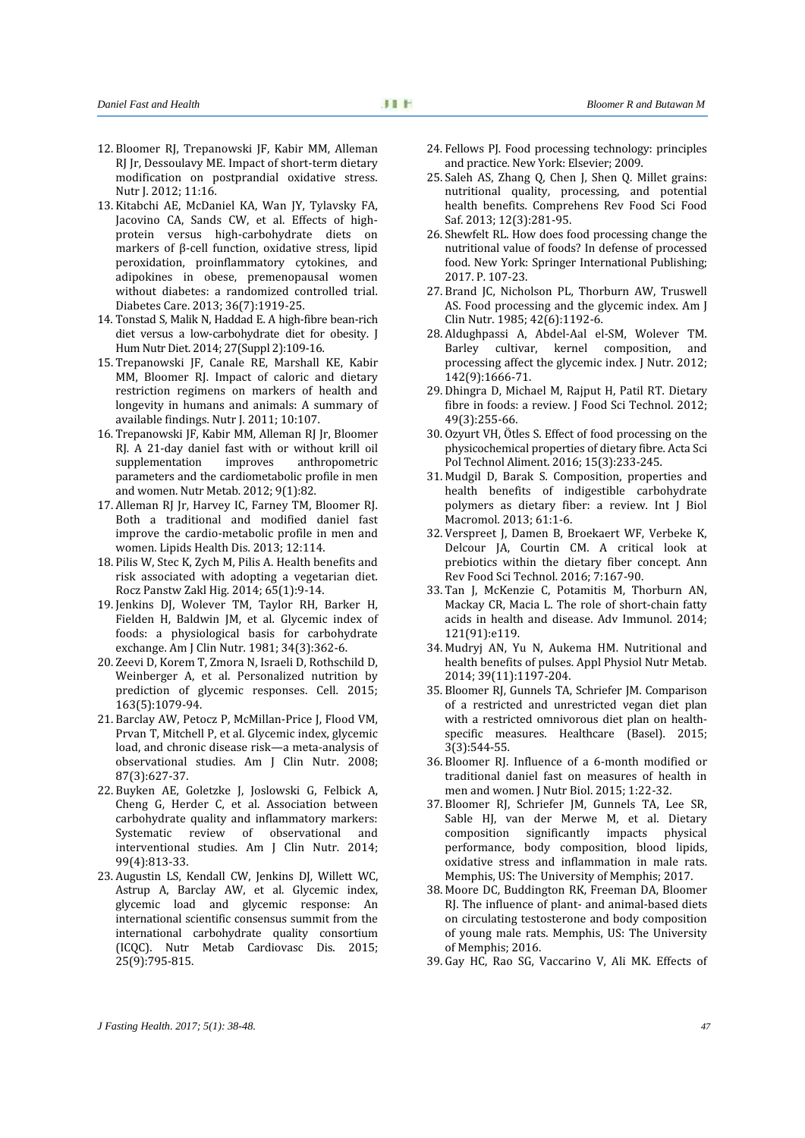- 12. Bloomer RJ, Trepanowski JF, Kabir MM, Alleman RJ Jr, Dessoulavy ME. Impact of short-term dietary modification on postprandial oxidative stress. Nutr J. 2012; 11:16.
- 13. Kitabchi AE, McDaniel KA, Wan JY, Tylavsky FA, Jacovino CA, Sands CW, et al. Effects of high protein versus high-carbohydrate diets on markers of β-cell function, oxidative stress, lipid peroxidation, proinflammatory cytokines, and adipokines in obese, premenopausal women without diabetes: a randomized controlled trial. Diabetes Care. 2013; 36(7):1919-25.
- 14. Tonstad S, Malik N, Haddad E. A high-fibre bean-rich diet versus a low-carbohydrate diet for obesity. J Hum Nutr Diet. 2014; 27(Suppl 2):109-16.
- 15. Trepanowski JF, Canale RE, Marshall KE, Kabir MM, Bloomer RJ. Impact of caloric and dietary restriction regimens on markers of health and longevity in humans and animals: A summary of available findings. Nutr J. 2011; 10:107.
- 16. Trepanowski JF, Kabir MM, Alleman RJ Jr, Bloomer RJ. A 21-day daniel fast with or without krill oil<br>supplementation improves anthropometric supplementation parameters and the cardiometabolic profile in men and women. Nutr Metab. 2012; 9(1):82.
- 17. Alleman RJ Jr, Harvey IC, Farney TM, Bloomer RJ. Both a traditional and modified daniel fast improve the cardio-metabolic profile in men and women. Lipids Health Dis. 2013; 12:114.
- 18. Pilis W, Stec K, Zych M, Pilis A. Health benefits and risk associated with adopting a vegetarian diet. Rocz Panstw Zakl Hig. 2014; 65(1):9-14.
- 19. Jenkins DJ, Wolever TM, Taylor RH, Barker H, Fielden H, Baldwin JM, et al. Glycemic index of foods: a physiological basis for carbohydrate exchange. Am J Clin Nutr. 1981; 34(3):362-6.
- 20. Zeevi D, Korem T, Zmora N, Israeli D, Rothschild D, Weinberger A, et al. Personalized nutrition by prediction of glycemic responses. Cell. 2015; 163(5):1079-94.
- 21. Barclay AW, Petocz P, McMillan-Price J, Flood VM, Prvan T, Mitchell P, et al. Glycemic index, glycemic load, and chronic disease risk—a meta-analysis of observational studies. Am J Clin Nutr. 2008; 87(3):627-37.
- 22. Buyken AE, Goletzke J, Joslowski G, Felbick A, Cheng G, Herder C, et al. Association between carbohydrate quality and inflammatory markers: Systematic review of observational and interventional studies. Am J Clin Nutr. 2014; 99(4):813-33.
- 23. Augustin LS, Kendall CW, Jenkins DJ, Willett WC, Astrup A, Barclay AW, et al. Glycemic index, glycemic load and glycemic response: An international scientific consensus summit from the international carbohydrate quality consortium (ICQC). Nutr Metab Cardiovasc Dis. 2015; 25(9):795-815.
- 24. Fellows PJ. Food processing technology: principles and practice. New York: Elsevier; 2009.
- 25. Saleh AS, Zhang Q, Chen J, Shen Q. Millet grains: nutritional quality, processing, and potential health benefits. Comprehens Rev Food Sci Food Saf. 2013; 12(3):281-95.
- 26. Shewfelt RL. How does food processing change the nutritional value of foods? In defense of processed food. New York: Springer International Publishing; 2017. P. 107-23.
- 27. Brand JC, Nicholson PL, Thorburn AW, Truswell AS. Food processing and the glycemic index. Am J Clin Nutr. 1985; 42(6):1192-6.
- 28. Aldughpassi A, Abdel-Aal el-SM, Wolever TM. Barley cultivar, kernel composition, processing affect the glycemic index. J Nutr. 2012; 142(9):1666-71.
- 29. Dhingra D, Michael M, Rajput H, Patil RT. Dietary fibre in foods: a review. J Food Sci Technol. 2012; 49(3):255-66.
- 30. Ozyurt VH, Ötles S. Effect of food processing on the physicochemical properties of dietary fibre. Acta Sci Pol Technol Aliment. 2016; 15(3):233-245.
- 31. Mudgil D, Barak S. Composition, properties and health benefits of indigestible carbohydrate polymers as dietary fiber: a review. Int J Biol Macromol. 2013; 61:1-6.
- 32. Verspreet J, Damen B, Broekaert WF, Verbeke K, Delcour JA, Courtin CM. A critical look at prebiotics within the dietary fiber concept. Ann Rev Food Sci Technol. 2016; 7:167-90.
- 33. Tan J, McKenzie C, Potamitis M, Thorburn AN, Mackay CR, Macia L. The role of short-chain fatty acids in health and disease. Adv Immunol. 2014; 121(91):e119.
- 34. Mudryj AN, Yu N, Aukema HM. Nutritional and health benefits of pulses. Appl Physiol Nutr Metab. 2014; 39(11):1197-204.
- 35. Bloomer RJ, Gunnels TA, Schriefer JM. Comparison of a restricted and unrestricted vegan diet plan with a restricted omnivorous diet plan on health specific measures. Healthcare (Basel). 2015; 3(3):544-55.
- 36. Bloomer RJ. Influence of a 6-month modified or traditional daniel fast on measures of health in men and women. J Nutr Biol. 2015; 1:22-32.
- 37. Bloomer RJ, Schriefer JM, Gunnels TA, Lee SR, Sable HJ, van der Merwe M, et al. Dietary composition significantly impacts physical performance, body composition, blood lipids, oxidative stress and inflammation in male rats. Memphis, US: The University of Memphis; 2017.
- 38. Moore DC, Buddington RK, Freeman DA, Bloomer RJ. The influence of plant- and animal-based diets on circulating testosterone and body composition of young male rats. Memphis, US: The University of Memphis; 2016.
- 39. Gay HC, Rao SG, Vaccarino V, Ali MK. Effects of